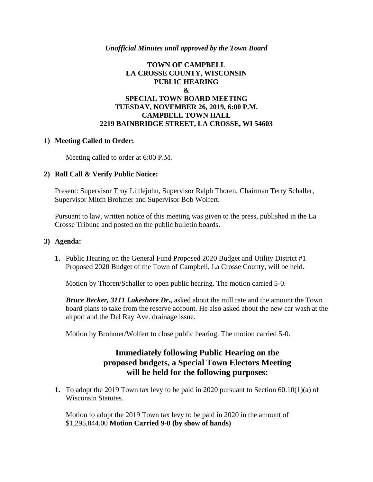### *Unofficial Minutes until approved by the Town Board*

### **TOWN OF CAMPBELL LA CROSSE COUNTY, WISCONSIN PUBLIC HEARING & SPECIAL TOWN BOARD MEETING TUESDAY, NOVEMBER 26, 2019, 6:00 P.M. CAMPBELL TOWN HALL 2219 BAINBRIDGE STREET, LA CROSSE, WI 54603**

#### **1) Meeting Called to Order:**

Meeting called to order at 6:00 P.M.

#### **2) Roll Call & Verify Public Notice:**

Present: Supervisor Troy Littlejohn, Supervisor Ralph Thoren, Chairman Terry Schaller, Supervisor Mitch Brohmer and Supervisor Bob Wolfert.

Pursuant to law, written notice of this meeting was given to the press, published in the La Crosse Tribune and posted on the public bulletin boards.

#### **3) Agenda:**

**1.** Public Hearing on the General Fund Proposed 2020 Budget and Utility District #1 Proposed 2020 Budget of the Town of Campbell, La Crosse County, will be held.

Motion by Thoren/Schaller to open public hearing. The motion carried 5-0.

*Bruce Becker, 3111 Lakeshore Dr.,* asked about the mill rate and the amount the Town board plans to take from the reserve account. He also asked about the new car wash at the airport and the Del Ray Ave. drainage issue.

Motion by Brohmer/Wolfert to close public hearing. The motion carried 5-0.

# **Immediately following Public Hearing on the proposed budgets, a Special Town Electors Meeting will be held for the following purposes:**

**1.** To adopt the 2019 Town tax levy to be paid in 2020 pursuant to Section 60.10(1)(a) of Wisconsin Statutes.

Motion to adopt the 2019 Town tax levy to be paid in 2020 in the amount of \$1,295,844.00 **Motion Carried 9-0 (by show of hands)**